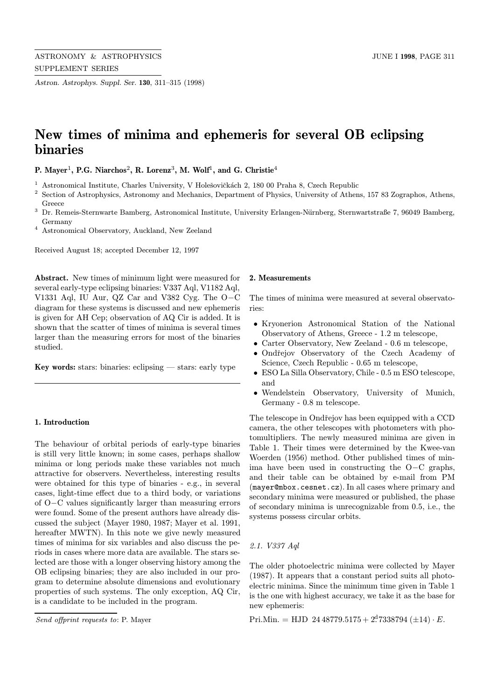Astron. Astrophys. Suppl. Ser. 130, 311–315 (1998)

# New times of minima and ephemeris for several OB eclipsing binaries

P. Mayer<sup>1</sup>, P.G. Niarchos<sup>2</sup>, R. Lorenz<sup>3</sup>, M. Wolf<sup>1</sup>, and G. Christie<sup>4</sup>

 $^{\rm 1}$  Astronomical Institute, Charles University, V Holešovičkách 2, 180 00 Praha 8, Czech Republic

- <sup>2</sup> Section of Astrophysics, Astronomy and Mechanics, Department of Physics, University of Athens, 157 83 Zographos, Athens, Greece
- <sup>3</sup> Dr. Remeis-Sternwarte Bamberg, Astronomical Institute, University Erlangen-Nürnberg, Sternwartstraße 7, 96049 Bamberg, Germany
- <sup>4</sup> Astronomical Observatory, Auckland, New Zeeland

Received August 18; accepted December 12, 1997

Abstract. New times of minimum light were measured for several early-type eclipsing binaries: V337 Aql, V1182 Aql, V1331 Aql, IU Aur, QZ Car and V382 Cyg. The O−C diagram for these systems is discussed and new ephemeris is given for AH Cep; observation of AQ Cir is added. It is shown that the scatter of times of minima is several times larger than the measuring errors for most of the binaries studied.

Key words: stars: binaries: eclipsing  $-$  stars: early type

## 1. Introduction

The behaviour of orbital periods of early-type binaries is still very little known; in some cases, perhaps shallow minima or long periods make these variables not much attractive for observers. Nevertheless, interesting results were obtained for this type of binaries - e.g., in several cases, light-time effect due to a third body, or variations of O−C values significantly larger than measuring errors were found. Some of the present authors have already discussed the subject (Mayer 1980, 1987; Mayer et al. 1991, hereafter MWTN). In this note we give newly measured times of minima for six variables and also discuss the periods in cases where more data are available. The stars selected are those with a longer observing history among the OB eclipsing binaries; they are also included in our program to determine absolute dimensions and evolutionary properties of such systems. The only exception, AQ Cir, is a candidate to be included in the program.

#### 2. Measurements

The times of minima were measured at several observatories:

- Kryonerion Astronomical Station of the National Observatory of Athens, Greece - 1.2 m telescope,
- Carter Observatory, New Zeeland 0.6 m telescope,
- Ondřejov Observatory of the Czech Academy of Science, Czech Republic - 0.65 m telescope,
- ESO La Silla Observatory, Chile 0.5 m ESO telescope, and
- Wendelstein Observatory, University of Munich, Germany - 0.8 m telescope.

The telescope in Ondřejov has been equipped with a CCD camera, the other telescopes with photometers with photomultipliers. The newly measured minima are given in Table 1. Their times were determined by the Kwee-van Woerden (1956) method. Other published times of minima have been used in constructing the O−C graphs, and their table can be obtained by e-mail from PM (mayer@mbox.cesnet.cz). In all cases where primary and secondary minima were measured or published, the phase of secondary minima is unrecognizable from 0.5, i.e., the systems possess circular orbits.

# 2.1. V337 Aql

The older photoelectric minima were collected by Mayer (1987). It appears that a constant period suits all photoelectric minima. Since the minimum time given in Table 1 is the one with highest accuracy, we take it as the base for new ephemeris:

Pri.Min. = HJD  $24\,48779.5175 + 2<sup>d</sup>7338794 \,(\pm 14) \cdot E$ .

Send offprint requests to: P. Mayer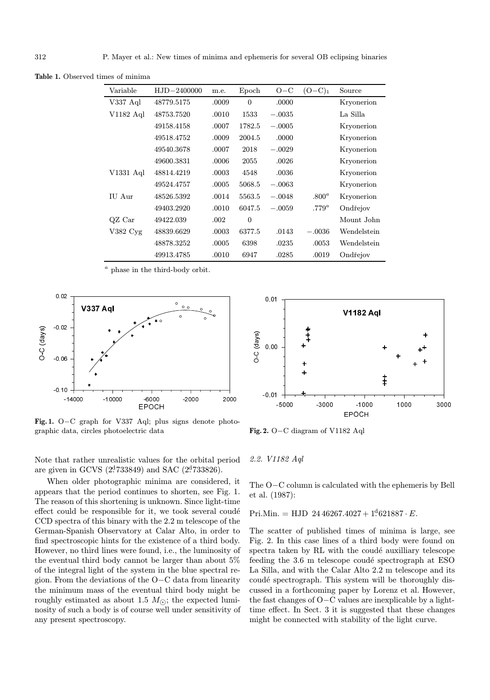| Variable              | HJD-2400000 | m.e.  | Epoch    | $O-C$    | $(O-C)_1$ | Source      |
|-----------------------|-------------|-------|----------|----------|-----------|-------------|
| V337 Aql              | 48779.5175  | .0009 | $\Omega$ | .0000    |           | Kryonerion  |
| V1182 Aql             | 48753.7520  | .0010 | 1533     | $-.0035$ |           | La Silla    |
|                       | 49158.4158  | .0007 | 1782.5   | $-.0005$ |           | Kryonerion  |
|                       | 49518.4752  | .0009 | 2004.5   | .0000    |           | Kryonerion  |
|                       | 49540.3678  | .0007 | 2018     | $-.0029$ |           | Kryonerion  |
|                       | 49600.3831  | .0006 | 2055     | .0026    |           | Kryonerion  |
| V1331 Aql             | 48814.4219  | .0003 | 4548     | .0036    |           | Kryonerion  |
|                       | 49524.4757  | .0005 | 5068.5   | $-.0063$ |           | Kryonerion  |
| IU Aur                | 48526.5392  | .0014 | 5563.5   | $-.0048$ | $.800^a$  | Kryonerion  |
|                       | 49403.2920  | .0010 | 6047.5   | $-.0059$ | $.779^a$  | Ondřejov    |
| $QZ$ Car              | 49422.039   | .002  | $\Omega$ |          |           | Mount John  |
| $V382 \,\mathrm{Cyg}$ | 48839.6629  | .0003 | 6377.5   | .0143    | $-.0036$  | Wendelstein |
|                       | 48878.3252  | .0005 | 6398     | .0235    | .0053     | Wendelstein |
|                       | 49913.4785  | .0010 | 6947     | .0285    | .0019     | Ondřejov    |

Table 1. Observed times of minima

<sup>a</sup> phase in the third-body orbit.



Fig. 1. O−C graph for V337 Aql; plus signs denote photographic data, circles photoelectric data



When older photographic minima are considered, it appears that the period continues to shorten, see Fig. 1. The reason of this shortening is unknown. Since light-time effect could be responsible for it, we took several coudé CCD spectra of this binary with the 2.2 m telescope of the German-Spanish Observatory at Calar Alto, in order to find spectroscopic hints for the existence of a third body. However, no third lines were found, i.e., the luminosity of the eventual third body cannot be larger than about 5% of the integral light of the system in the blue spectral region. From the deviations of the O−C data from linearity the minimum mass of the eventual third body might be roughly estimated as about 1.5  $M_{\odot}$ ; the expected luminosity of such a body is of course well under sensitivity of any present spectroscopy.



Fig. 2. O−C diagram of V1182 Aql

2.2. V1182 Aql

The O−C column is calculated with the ephemeris by Bell et al. (1987):

Pri.Min. = HJD  $24\,46267.4027 + 1<sup>4</sup>621887 \cdot E$ .

The scatter of published times of minima is large, see Fig. 2. In this case lines of a third body were found on spectra taken by RL with the coudé auxilliary telescope feeding the 3.6 m telescope coudé spectrograph at ESO La Silla, and with the Calar Alto 2.2 m telescope and its coudé spectrograph. This system will be thoroughly discussed in a forthcoming paper by Lorenz et al. However, the fast changes of O−C values are inexplicable by a lighttime effect. In Sect. 3 it is suggested that these changes might be connected with stability of the light curve.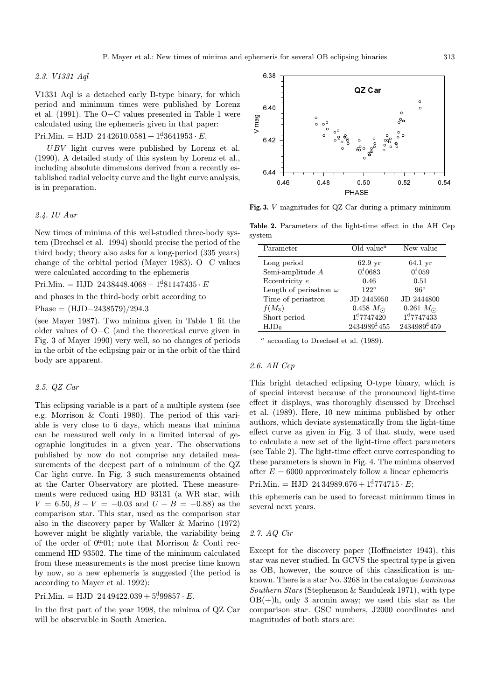### 2.3. V1331 Aql

V1331 Aql is a detached early B-type binary, for which period and minimum times were published by Lorenz et al. (1991). The O−C values presented in Table 1 were calculated using the ephemeris given in that paper:

Pri.Min. = HJD  $24\,42610.0581 + 1<sup>d</sup>3641953 \cdot E$ .

UBV light curves were published by Lorenz et al. (1990). A detailed study of this system by Lorenz et al., including absolute dimensions derived from a recently established radial velocity curve and the light curve analysis, is in preparation.

## 2.4. IU Aur

New times of minima of this well-studied three-body system (Drechsel et al. 1994) should precise the period of the third body; theory also asks for a long-period (335 years) change of the orbital period (Mayer 1983). O−C values were calculated according to the ephemeris

 $Pri.Min. = HJD 24\,38448.4068 + 1.81147435 \cdot E$ 

and phases in the third-body orbit according to

Phase =  $(HJD-2438579)/294.3$ 

(see Mayer 1987). Two minima given in Table 1 fit the older values of O−C (and the theoretical curve given in Fig. 3 of Mayer 1990) very well, so no changes of periods in the orbit of the eclipsing pair or in the orbit of the third body are apparent.

# 2.5. QZ Car

This eclipsing variable is a part of a multiple system (see e.g. Morrison & Conti 1980). The period of this variable is very close to 6 days, which means that minima can be measured well only in a limited interval of geographic longitudes in a given year. The observations published by now do not comprise any detailed measurements of the deepest part of a minimum of the QZ Car light curve. In Fig. 3 such measurements obtained at the Carter Observatory are plotted. These measurements were reduced using HD 93131 (a WR star, with  $V = 6.50, B - V = -0.03$  and  $U - B = -0.88$ ) as the comparison star. This star, used as the comparison star also in the discovery paper by Walker & Marino (1972) however might be slightly variable, the variability being of the order of 0. 0. 1; note that Morrison & Conti recommend HD 93502. The time of the minimum calculated from these measurements is the most precise time known by now, so a new ephemeris is suggested (the period is according to Mayer et al. 1992):

# Pri.Min. = HJD  $24\,49422.039 + 5^499857 \cdot E$ .

In the first part of the year 1998, the minima of QZ Car will be observable in South America.



Fig. 3. V magnitudes for QZ Car during a primary minimum

Table 2. Parameters of the light-time effect in the AH Cep system

| Parameter                     | Old value <sup><math>a</math></sup> | New value                |  |
|-------------------------------|-------------------------------------|--------------------------|--|
| Long period                   | $62.9$ yr                           | 64.1 yr                  |  |
| Semi-amplitude $A$            | $0^{d}0683$                         | $0^{d}059$               |  |
| Eccentricity e                | 0.46                                | 0.51                     |  |
| Length of periastron $\omega$ | $122^\circ$                         | $96^\circ$               |  |
| Time of periastron            | JD 2445950                          | JD 2444800               |  |
| $f(M_3)$                      | 0.458 $M_{\odot}$                   | 0.261 $M_{\odot}$        |  |
| Short period                  | 1 <sup>d</sup> 7747420              | 1 <sup>d</sup> 7747433   |  |
| $HJD_0$                       | 2434989 <sup>d</sup> 455            | 2434989 <sup>d</sup> 459 |  |

 $a$  according to Drechsel et al. (1989).

## 2.6. AH Cep

This bright detached eclipsing O-type binary, which is of special interest because of the pronounced light-time effect it displays, was thoroughly discussed by Drechsel et al. (1989). Here, 10 new minima published by other authors, which deviate systematically from the light-time effect curve as given in Fig. 3 of that study, were used to calculate a new set of the light-time effect parameters (see Table 2). The light-time effect curve corresponding to these parameters is shown in Fig. 4. The minima observed after  $E = 6000$  approximately follow a linear ephemeris

 $Pri.Min. = HJD 24\,34989.676 + 1<sup>d</sup>774715 \cdot E;$ 

this ephemeris can be used to forecast minimum times in several next years.

## 2.7. AQ Cir

Except for the discovery paper (Hoffmeister 1943), this star was never studied. In GCVS the spectral type is given as OB, however, the source of this classification is unknown. There is a star No. 3268 in the catalogue Luminous Southern Stars (Stephenson & Sanduleak 1971), with type  $OB(+)$ h, only 3 arcmin away; we used this star as the comparison star. GSC numbers, J2000 coordinates and magnitudes of both stars are: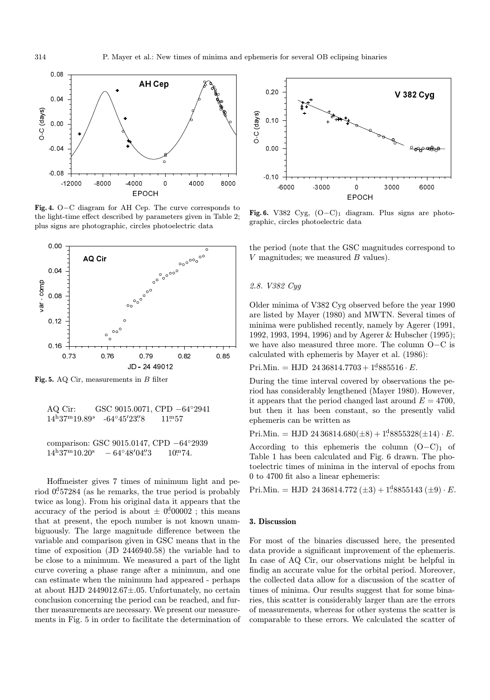

Fig. 4. O−C diagram for AH Cep. The curve corresponds to the light-time effect described by parameters given in Table 2; plus signs are photographic, circles photoelectric data



Fig. 5. AQ Cir, measurements in B filter

AQ Cir: GSC 9015.0071, CPD −64◦2941  $14^{\rm h}37^{\rm m}19.89^s$  $-64^{\circ}45'23\rlap{.}^{\prime\prime}8$  $\frac{m}{8}$  11.57

comparison: GSC 9015.0147, CPD −64◦2939  $14^{\rm h}37^{\rm m}10.20^{\rm s}$  $-64^{\circ}48'04''3$  $\frac{m}{3}$  10. 74.

Hoffmeister gives 7 times of minimum light and period 0.457284 (as he remarks, the true period is probably twice as long). From his original data it appears that the accuracy of the period is about  $\pm$  0.00002; this means that at present, the epoch number is not known unambiguously. The large magnitude difference between the variable and comparison given in GSC means that in the time of exposition (JD 2446940.58) the variable had to be close to a minimum. We measured a part of the light curve covering a phase range after a minimum, and one can estimate when the minimum had appeared - perhaps at about HJD 2449012.67±.05. Unfortunately, no certain conclusion concerning the period can be reached, and further measurements are necessary. We present our measurements in Fig. 5 in order to facilitate the determination of



Fig. 6. V382 Cyg,  $(O-C)_1$  diagram. Plus signs are photographic, circles photoelectric data

the period (note that the GSC magnitudes correspond to  $V$  magnitudes; we measured  $B$  values).

## 2.8. V382 Cyg

Older minima of V382 Cyg observed before the year 1990 are listed by Mayer (1980) and MWTN. Several times of minima were published recently, namely by Agerer (1991, 1992, 1993, 1994, 1996) and by Agerer & Hubscher (1995); we have also measured three more. The column O−C is calculated with ephemeris by Mayer et al. (1986):

Pri.Min. = HJD  $24\,36814.7703 + 1<sup>4</sup>885516 \cdot E$ .

During the time interval covered by observations the period has considerably lengthened (Mayer 1980). However, it appears that the period changed last around  $E = 4700$ , but then it has been constant, so the presently valid ephemeris can be written as

Pri.Min. = HJD 24 36814.680( $\pm 8$ ) + 1<sup>4</sup>8855328( $\pm 14$ ) · E.

According to this ephemeris the column  $(O-C)_1$  of Table 1 has been calculated and Fig. 6 drawn. The photoelectric times of minima in the interval of epochs from 0 to 4700 fit also a linear ephemeris:

Pri.Min. = HJD 24 36814.772  $(\pm 3) + 1^d$ 8855143  $(\pm 9) \cdot E$ .

# 3. Discussion

For most of the binaries discussed here, the presented data provide a significant improvement of the ephemeris. In case of AQ Cir, our observations might be helpful in findig an accurate value for the orbital period. Moreover, the collected data allow for a discussion of the scatter of times of minima. Our results suggest that for some binaries, this scatter is considerably larger than are the errors of measurements, whereas for other systems the scatter is comparable to these errors. We calculated the scatter of